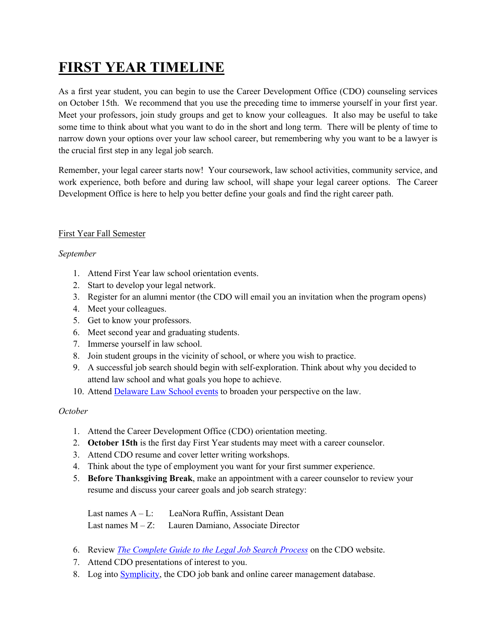# **FIRST YEAR TIMELINE**

As a first year student, you can begin to use the Career Development Office (CDO) counseling services on October 15th. We recommend that you use the preceding time to immerse yourself in your first year. Meet your professors, join study groups and get to know your colleagues. It also may be useful to take some time to think about what you want to do in the short and long term. There will be plenty of time to narrow down your options over your law school career, but remembering why you want to be a lawyer is the crucial first step in any legal job search.

Remember, your legal career starts now! Your coursework, law school activities, community service, and work experience, both before and during law school, will shape your legal career options. The Career Development Office is here to help you better define your goals and find the right career path.

# First Year Fall Semester

# *September*

- 1. Attend First Year law school orientation events.
- 2. Start to develop your legal network.
- 3. Register for an alumni mentor (the CDO will email you an invitation when the program opens)
- 4. Meet your colleagues.
- 5. Get to know your professors.
- 6. Meet second year and graduating students.
- 7. Immerse yourself in law school.
- 8. Join student groups in the vicinity of school, or where you wish to practice.
- 9. A successful job search should begin with self-exploration. Think about why you decided to attend law school and what goals you hope to achieve.
- 10. Attend Delaware Law School events to broaden your perspective on the law.

#### *October*

- 1. Attend the Career Development Office (CDO) orientation meeting.
- 2. **October 15th** is the first day First Year students may meet with a career counselor.
- 3. Attend CDO resume and cover letter writing workshops.
- 4. Think about the type of employment you want for your first summer experience.
- 5. **Before Thanksgiving Break**, make an appointment with a career counselor to review your resume and discuss your career goals and job search strategy:

Last names  $A - L$ : LeaNora Ruffin, Assistant Dean Last names M – Z: Lauren Damiano, Associate Director

- 6. Review *The Complete Guide to the Legal Job Search Process* on the CDO website.
- 7. Attend CDO presentations of interest to you.
- 8. Log into **Symplicity**, the CDO job bank and online career management database.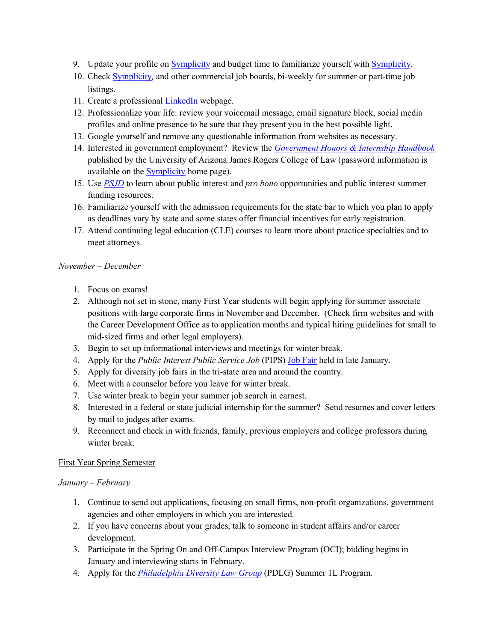- 9. Update your profile on Symplicity and budget time to familiarize yourself with Symplicity.
- 10. Check Symplicity, and other commercial job boards, bi-weekly for summer or part-time job listings.
- 11. Create a professional LinkedIn webpage.
- 12. Professionalize your life: review your voicemail message, email signature block, social media profiles and online presence to be sure that they present you in the best possible light.
- 13. Google yourself and remove any questionable information from websites as necessary.
- 14. Interested in government employment? Review the *Government Honors & Internship Handbook* published by the University of Arizona James Rogers College of Law (password information is available on the **Symplicity** home page).
- 15. Use *PSJD* to learn about public interest and *pro bono* opportunities and public interest summer funding resources.
- 16. Familiarize yourself with the admission requirements for the state bar to which you plan to apply as deadlines vary by state and some states offer financial incentives for early registration.
- 17. Attend continuing legal education (CLE) courses to learn more about practice specialties and to meet attorneys.

### *November – December*

- 1. Focus on exams!
- 2. Although not set in stone, many First Year students will begin applying for summer associate positions with large corporate firms in November and December. (Check firm websites and with the Career Development Office as to application months and typical hiring guidelines for small to mid-sized firms and other legal employers).
- 3. Begin to set up informational interviews and meetings for winter break.
- 4. Apply for the *Public Interest Public Service Job* (PIPS) Job Fair held in late January.
- 5. Apply for diversity job fairs in the tri-state area and around the country.
- 6. Meet with a counselor before you leave for winter break.
- 7. Use winter break to begin your summer job search in earnest.
- 8. Interested in a federal or state judicial internship for the summer? Send resumes and cover letters by mail to judges after exams.
- 9. Reconnect and check in with friends, family, previous employers and college professors during winter break.

#### First Year Spring Semester

#### *January – February*

- 1. Continue to send out applications, focusing on small firms, non-profit organizations, government agencies and other employers in which you are interested.
- 2. If you have concerns about your grades, talk to someone in student affairs and/or career development.
- 3. Participate in the Spring On and Off-Campus Interview Program (OCI); bidding begins in January and interviewing starts in February.
- 4. Apply for the *Philadelphia Diversity Law Group* (PDLG) Summer 1L Program.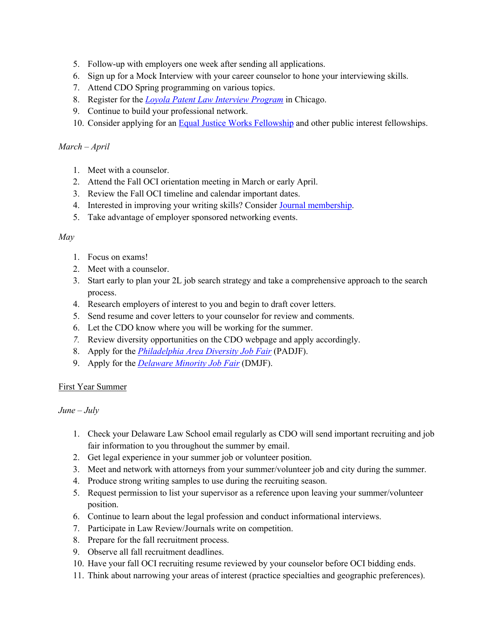- 5. Follow-up with employers one week after sending all applications.
- 6. Sign up for a Mock Interview with your career counselor to hone your interviewing skills.
- 7. Attend CDO Spring programming on various topics.
- 8. Register for the *Loyola Patent Law Interview Program* in Chicago.
- 9. Continue to build your professional network.
- 10. Consider applying for an **Equal Justice Works Fellowship** and other public interest fellowships.

## *March – April*

- 1. Meet with a counselor.
- 2. Attend the Fall OCI orientation meeting in March or early April.
- 3. Review the Fall OCI timeline and calendar important dates.
- 4. Interested in improving your writing skills? Consider Journal membership.
- 5. Take advantage of employer sponsored networking events.

#### *May*

- 1. Focus on exams!
- 2. Meet with a counselor.
- 3. Start early to plan your 2L job search strategy and take a comprehensive approach to the search process.
- 4. Research employers of interest to you and begin to draft cover letters.
- 5. Send resume and cover letters to your counselor for review and comments.
- 6. Let the CDO know where you will be working for the summer.
- *7.* Review diversity opportunities on the CDO webpage and apply accordingly.
- 8. Apply for the *Philadelphia Area Diversity Job Fair* (PADJF).
- 9. Apply for the *Delaware Minority Job Fair* (DMJF).

#### First Year Summer

*June – July*

- 1. Check your Delaware Law School email regularly as CDO will send important recruiting and job fair information to you throughout the summer by email.
- 2. Get legal experience in your summer job or volunteer position.
- 3. Meet and network with attorneys from your summer/volunteer job and city during the summer.
- 4. Produce strong writing samples to use during the recruiting season.
- 5. Request permission to list your supervisor as a reference upon leaving your summer/volunteer position.
- 6. Continue to learn about the legal profession and conduct informational interviews.
- 7. Participate in Law Review/Journals write on competition.
- 8. Prepare for the fall recruitment process.
- 9. Observe all fall recruitment deadlines.
- 10. Have your fall OCI recruiting resume reviewed by your counselor before OCI bidding ends.
- 11. Think about narrowing your areas of interest (practice specialties and geographic preferences).